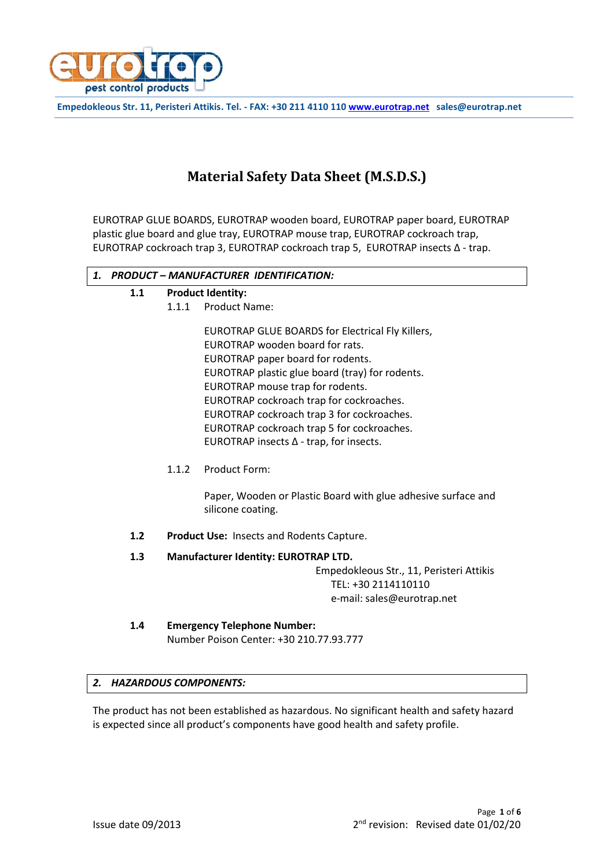

**Empedokleous Str. 11, Peristeri Attikis. Tel. - FAX: +30 211 4110 110 [www.eurotrap.net](http://www.eurotrap.net/) sales@eurotrap.net**

# **Material Safety Data Sheet (M.S.D.S.)**

EUROTRAP GLUE BOARDS, EUROTRAP wooden board, EUROTRAP paper board, EUROTRAP plastic glue board and glue tray, EUROTRAP mouse trap, EUROTRAP cockroach trap, EUROTRAP cockroach trap 3, EUROTRAP cockroach trap 5, EUROTRAP insects Δ - trap.

## *1. PRODUCT – MANUFACTURER IDENTIFICATION:* **1.1 Product Identity:** 1.1.1 Product Name: EUROTRAP GLUE BOARDS for Electrical Fly Killers, EUROTRAP wooden board for rats. EUROTRAP paper board for rodents. EUROTRAP plastic glue board (tray) for rodents. EUROTRAP mouse trap for rodents. EUROTRAP cockroach trap for cockroaches. EUROTRAP cockroach trap 3 for cockroaches. EUROTRAP cockroach trap 5 for cockroaches. EUROTRAP insects Δ - trap, for insects. 1.1.2 Product Form: Paper, Wooden or Plastic Board with glue adhesive surface and silicone coating. **1.2 Product Use:** Insects and Rodents Capture. **1.3 Manufacturer Identity: EUROTRAP LTD.** Empedokleous Str., 11, Peristeri Attikis TEL: +30 2114110110 e-mail: sales@eurotrap.net **1.4 Emergency Telephone Number:**

Number Poison Center: +30 210.77.93.777

## *2. HAZARDOUS COMPONENTS:*

The product has not been established as hazardous. No significant health and safety hazard is expected since all product's components have good health and safety profile.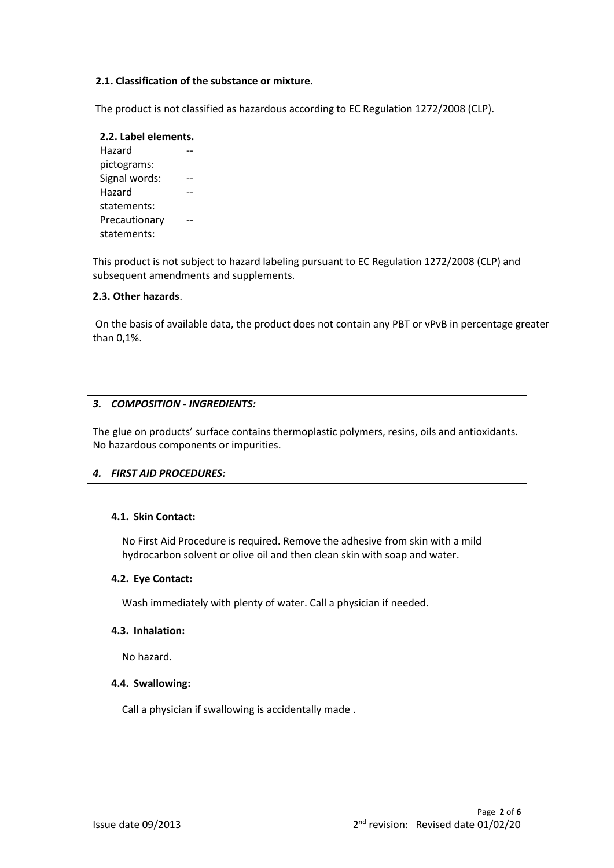## **2.1. Classification of the substance or mixture.**

The product is not classified as hazardous according to EC Regulation 1272/2008 (CLP).

#### **2.2. Label elements.**  Hazard --

pictograms: Signal words: -Hazard statements: -- Precautionary statements: --

This product is not subject to hazard labeling pursuant to EC Regulation 1272/2008 (CLP) and subsequent amendments and supplements.

## **2.3. Other hazards**.

On the basis of available data, the product does not contain any PBT or vPvB in percentage greater than 0,1%.

## *3. COMPOSITION - INGREDIENTS:*

The glue on products' surface contains thermoplastic polymers, resins, oils and antioxidants. No hazardous components or impurities.

## *4. FIRST AID PROCEDURES:*

## **4.1. Skin Contact:**

No First Aid Procedure is required. Remove the adhesive from skin with a mild hydrocarbon solvent or olive oil and then clean skin with soap and water.

## **4.2. Eye Contact:**

Wash immediately with plenty of water. Call a physician if needed.

## **4.3. Inhalation:**

No hazard.

## **4.4. Swallowing:**

Call a physician if swallowing is accidentally made .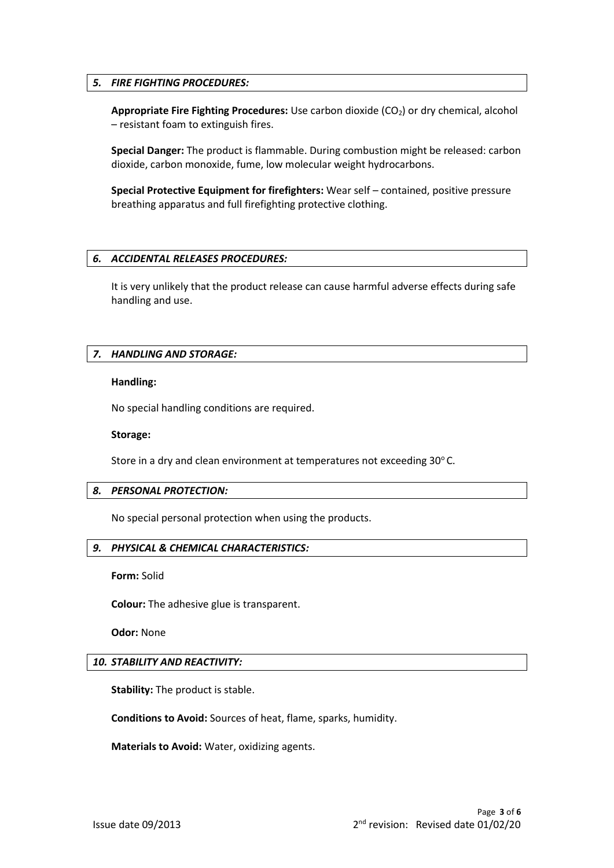## *5. FIRE FIGHTING PROCEDURES:*

**Appropriate Fire Fighting Procedures:** Use carbon dioxide (CO2) or dry chemical, alcohol – resistant foam to extinguish fires.

**Special Danger:** The product is flammable. During combustion might be released: carbon dioxide, carbon monoxide, fume, low molecular weight hydrocarbons.

**Special Protective Equipment for firefighters:** Wear self – contained, positive pressure breathing apparatus and full firefighting protective clothing.

#### *6. ACCIDENTAL RELEASES PROCEDURES:*

It is very unlikely that the product release can cause harmful adverse effects during safe handling and use.

#### *7. HANDLING AND STORAGE:*

#### **Handling:**

No special handling conditions are required.

**Storage:**

Store in a dry and clean environment at temperatures not exceeding 30°C.

## *8. PERSONAL PROTECTION:*

No special personal protection when using the products.

## *9. PHYSICAL & CHEMICAL CHARACTERISTICS:*

**Form:** Solid

**Colour:** The adhesive glue is transparent.

**Odor:** None

### *10. STABILITY AND REACTIVITY:*

**Stability:** The product is stable.

**Conditions to Avoid:** Sources of heat, flame, sparks, humidity.

**Materials to Avoid:** Water, oxidizing agents.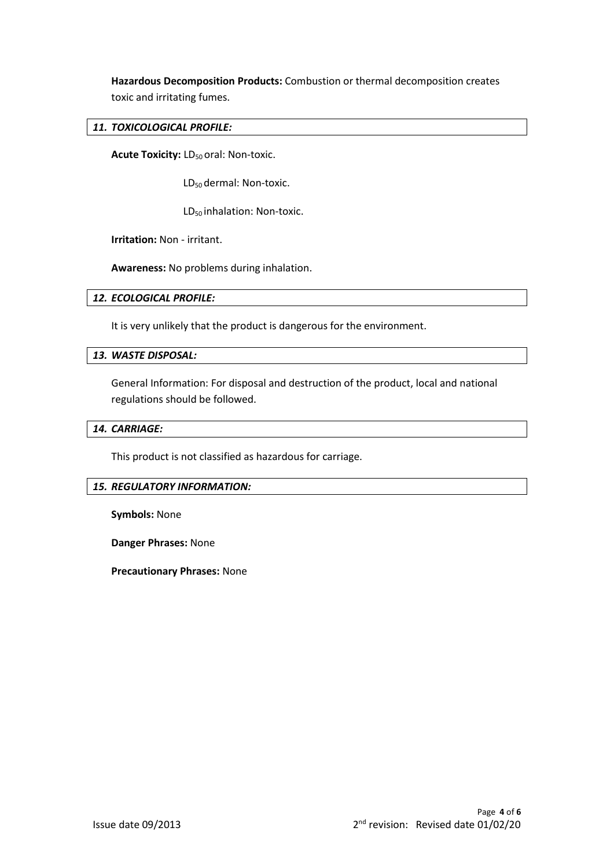**Hazardous Decomposition Products:** Combustion or thermal decomposition creates toxic and irritating fumes.

## *11. TOXICOLOGICAL PROFILE:*

**Acute Toxicity: LD<sub>50</sub> oral: Non-toxic.** 

LD<sub>50</sub> dermal: Non-toxic.

LD<sub>50</sub> inhalation: Non-toxic.

**Irritation:** Non - irritant.

**Awareness:** No problems during inhalation.

## *12. ECOLOGICAL PROFILE:*

It is very unlikely that the product is dangerous for the environment.

## *13. WASTE DISPOSAL:*

General Information: For disposal and destruction of the product, local and national regulations should be followed.

## *14. CARRIAGE:*

This product is not classified as hazardous for carriage.

## *15. REGULATORY INFORMATION:*

**Symbols:** None

**Danger Phrases:** None

**Precautionary Phrases:** None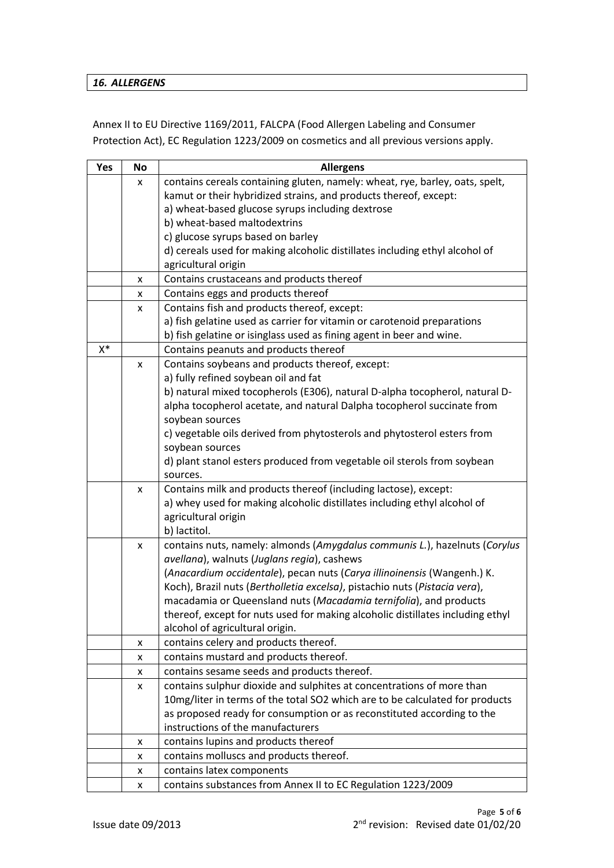## *16. ALLERGENS*

Annex II to EU Directive 1169/2011, FALCPA (Food Allergen Labeling and Consumer Protection Act), EC Regulation 1223/2009 on cosmetics and all previous versions apply.

| Yes   | <b>No</b> | <b>Allergens</b>                                                               |
|-------|-----------|--------------------------------------------------------------------------------|
|       | x         | contains cereals containing gluten, namely: wheat, rye, barley, oats, spelt,   |
|       |           | kamut or their hybridized strains, and products thereof, except:               |
|       |           | a) wheat-based glucose syrups including dextrose                               |
|       |           | b) wheat-based maltodextrins                                                   |
|       |           | c) glucose syrups based on barley                                              |
|       |           | d) cereals used for making alcoholic distillates including ethyl alcohol of    |
|       |           | agricultural origin                                                            |
|       | x         | Contains crustaceans and products thereof                                      |
|       | x         | Contains eggs and products thereof                                             |
|       | x         | Contains fish and products thereof, except:                                    |
|       |           | a) fish gelatine used as carrier for vitamin or carotenoid preparations        |
|       |           | b) fish gelatine or isinglass used as fining agent in beer and wine.           |
| $X^*$ |           | Contains peanuts and products thereof                                          |
|       | x         | Contains soybeans and products thereof, except:                                |
|       |           | a) fully refined soybean oil and fat                                           |
|       |           | b) natural mixed tocopherols (E306), natural D-alpha tocopherol, natural D-    |
|       |           | alpha tocopherol acetate, and natural Dalpha tocopherol succinate from         |
|       |           | soybean sources                                                                |
|       |           | c) vegetable oils derived from phytosterols and phytosterol esters from        |
|       |           | soybean sources                                                                |
|       |           | d) plant stanol esters produced from vegetable oil sterols from soybean        |
|       |           | sources.                                                                       |
|       | x         | Contains milk and products thereof (including lactose), except:                |
|       |           | a) whey used for making alcoholic distillates including ethyl alcohol of       |
|       |           | agricultural origin                                                            |
|       |           | b) lactitol.                                                                   |
|       | x         | contains nuts, namely: almonds (Amygdalus communis L.), hazelnuts (Corylus     |
|       |           | avellana), walnuts (Juglans regia), cashews                                    |
|       |           | (Anacardium occidentale), pecan nuts (Carya illinoinensis (Wangenh.) K.        |
|       |           | Koch), Brazil nuts (Bertholletia excelsa), pistachio nuts (Pistacia vera),     |
|       |           | macadamia or Queensland nuts (Macadamia ternifolia), and products              |
|       |           | thereof, except for nuts used for making alcoholic distillates including ethyl |
|       |           | alcohol of agricultural origin.                                                |
|       | x         | contains celery and products thereof.                                          |
|       | x         | contains mustard and products thereof.                                         |
|       | x         | contains sesame seeds and products thereof.                                    |
|       | x         | contains sulphur dioxide and sulphites at concentrations of more than          |
|       |           | 10mg/liter in terms of the total SO2 which are to be calculated for products   |
|       |           | as proposed ready for consumption or as reconstituted according to the         |
|       |           | instructions of the manufacturers                                              |
|       | x         | contains lupins and products thereof                                           |
|       | x         | contains molluscs and products thereof.                                        |
|       | x         | contains latex components                                                      |
|       | x         | contains substances from Annex II to EC Regulation 1223/2009                   |